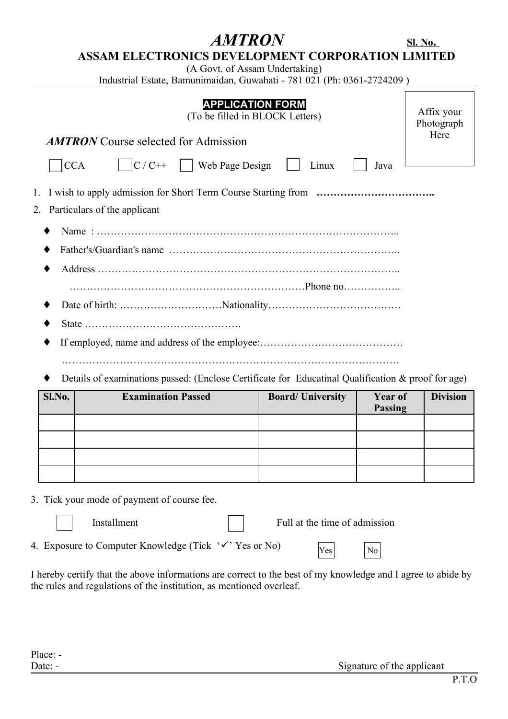# $AMTRON$

|--|

## **ASSAM ELECTRONICS DEVELOPMENT CORPORATION LIMITED**

(A Govt. of Assam Undertaking)

Industrial Estate, Bamunimaidan, Guwahati - 781 021 (Ph: 0361-2724209 )

| <b>AMTRON</b> Course selected for Admission                                                                                         | <b>APPLICATION FORM</b><br>(To be filled in BLOCK Letters) |                               |                                  | Affix your<br>Photograph<br>Here |
|-------------------------------------------------------------------------------------------------------------------------------------|------------------------------------------------------------|-------------------------------|----------------------------------|----------------------------------|
| $\begin{array}{ c c c c c } \hline \end{array}$ C/C++ $\begin{array}{ c c c c c } \hline \end{array}$ Web Page Design<br><b>CCA</b> |                                                            | Linux                         | Java                             |                                  |
| 1.<br>Particulars of the applicant<br>2.                                                                                            |                                                            |                               |                                  |                                  |
|                                                                                                                                     |                                                            |                               |                                  |                                  |
|                                                                                                                                     |                                                            |                               |                                  |                                  |
|                                                                                                                                     |                                                            |                               |                                  |                                  |
|                                                                                                                                     |                                                            |                               |                                  |                                  |
|                                                                                                                                     |                                                            |                               |                                  |                                  |
| Details of examinations passed: (Enclose Certificate for Educatinal Qualification & proof for age)                                  |                                                            |                               |                                  |                                  |
| <b>Examination Passed</b><br>Sl.No.                                                                                                 |                                                            | <b>Board/University</b>       | <b>Year of</b><br><b>Passing</b> | <b>Division</b>                  |
|                                                                                                                                     |                                                            |                               |                                  |                                  |
|                                                                                                                                     |                                                            |                               |                                  |                                  |
|                                                                                                                                     |                                                            |                               |                                  |                                  |
| 3. Tick your mode of payment of course fee.                                                                                         |                                                            |                               |                                  |                                  |
| Installment                                                                                                                         |                                                            | Full at the time of admission |                                  |                                  |

4. Exposure to Computer Knowledge (Tick  $\forall$  Yes or No)

I hereby certify that the above informations are correct to the best of my knowledge and I agree to abide by the rules and regulations of the institution, as mentioned overleaf.

Yes No